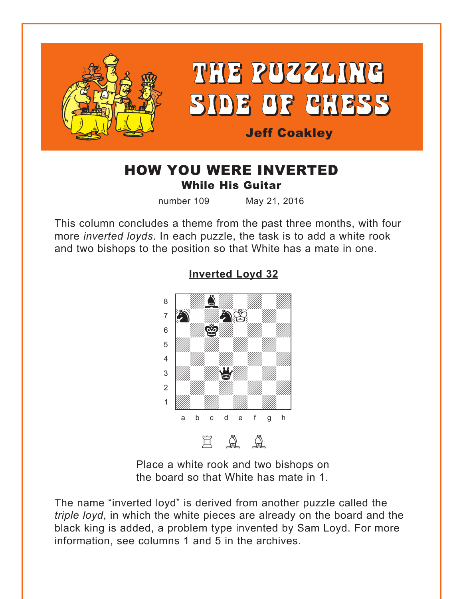<span id="page-0-0"></span>

## HOW YOU WERE INVERTED While His Guitar

number 109 May 21, 2016

This column concludes a theme from the past three months, with four more *inverted loyds*. In each puzzle, the task is to add a white rook and two bishops to the position so that White has a mate in one.



#### **[Inverted Loyd 32](#page-4-0)**

Place a white rook and two bishops on the board so that White has mate in 1.

The name "inverted loyd" is derived from another puzzle called the *triple loyd*, in which the white pieces are already on the board and the black king is added, a problem type invented by Sam Loyd. For more information, see columns 1 and 5 in the archives.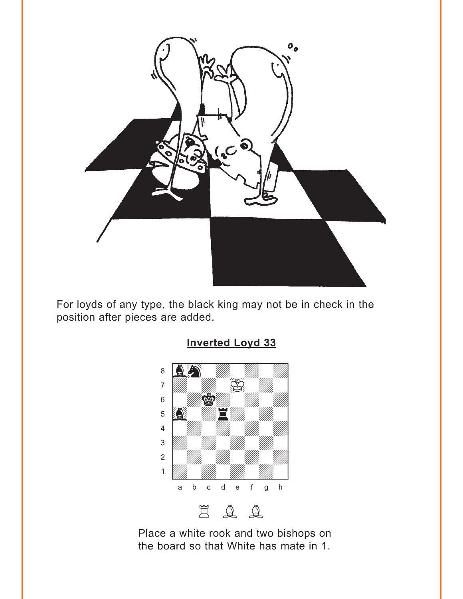<span id="page-1-0"></span>

For loyds of any type, the black king may not be in check in the position after pieces are added.



Place a white rook and two bishops on the board so that White has mate in 1.

## **Inverted Loyd 33**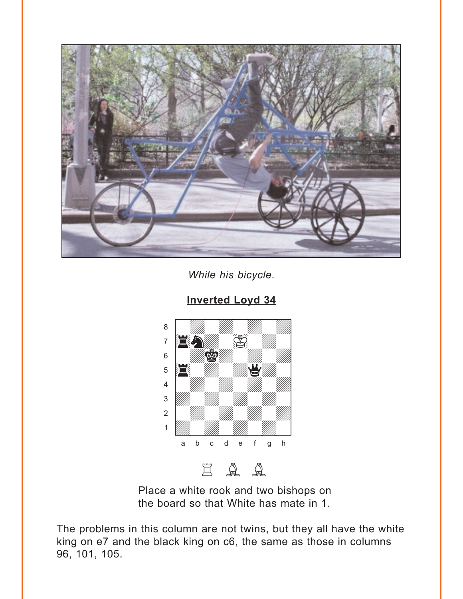<span id="page-2-0"></span>

While his bicycle.



**Inverted Loyd 34** 

Place a white rook and two bishops on the board so that White has mate in 1.

The problems in this column are not twins, but they all have the white king on e7 and the black king on c6, the same as those in columns 96, 101, 105.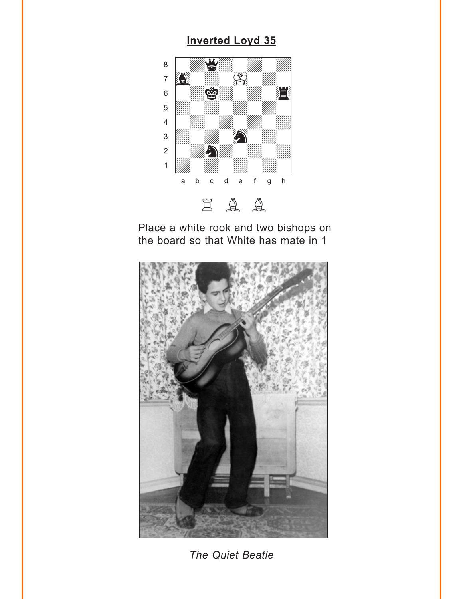# **Inverted Loyd 35**

<span id="page-3-0"></span>

Place a white rook and two bishops on the board so that White has mate in 1



The Quiet Beatle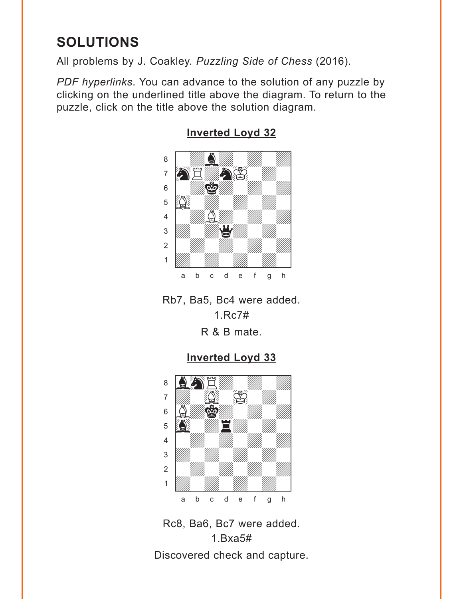# <span id="page-4-0"></span>**SOLUTIONS**

All problems by J. Coakley. *Puzzling Side of Chess* (2016).

*PDF hyperlinks*. You can advance to the solution of any puzzle by clicking on the underlined title above the diagram. To return to the puzzle, click on the title above the solution diagram.



**[Inverted Loyd 32](#page-0-0)**

Rb7, Ba5, Bc4 were added. 1.Rc7#

R & B mate.

### **[Inverted Loyd 33](#page-1-0)**



Rc8, Ba6, Bc7 were added. 1.Bxa5# Discovered check and capture.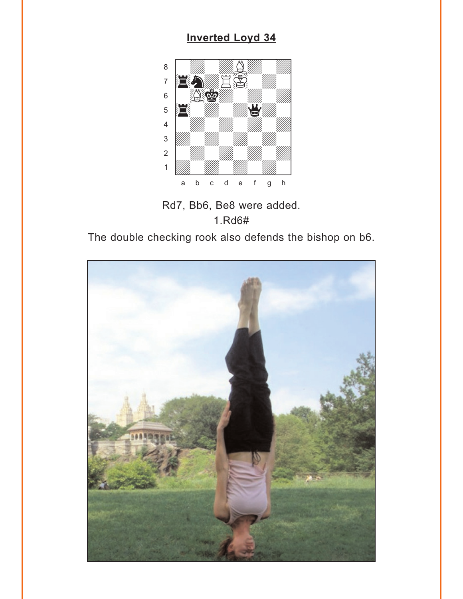# **[Inverted Loyd 34](#page-2-0)**

<span id="page-5-0"></span>

Rd7, Bb6, Be8 were added. 1.Rd6#

The double checking rook also defends the bishop on b6.